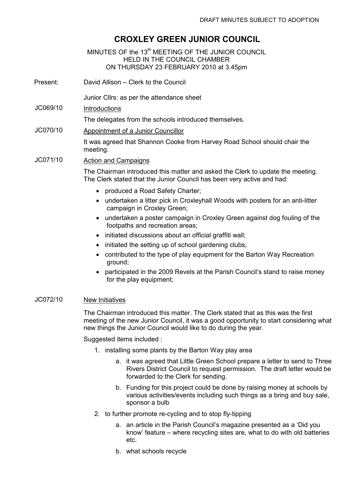## CROXLEY GREEN JUNIOR COUNCIL

MINUTES OF the 13<sup>th</sup> MEETING OF THE JUNIOR COUNCIL HELD IN THE COUNCIL CHAMBER ON THURSDAY 23 FEBRUARY 2010 at 3.45pm

Present: David Allison – Clerk to the Council

Junior Cllrs: as per the attendance sheet

JC069/10 Introductions

The delegates from the schools introduced themselves.

JC070/10 Appointment of a Junior Councillor

It was agreed that Shannon Cooke from Harvey Road School should chair the meeting.

JC071/10 Action and Campaigns

The Chairman introduced this matter and asked the Clerk to update the meeting. The Clerk stated that the Junior Council has been very active and had:

- produced a Road Safety Charter;
- undertaken a litter pick in Croxleyhall Woods with posters for an anti-litter campaign in Croxley Green;
- undertaken a poster campaign in Croxley Green against dog fouling of the footpaths and recreation areas;
- initiated discussions about an official graffiti wall;
- initiated the setting up of school gardening clubs;
- contributed to the type of play equipment for the Barton Way Recreation ground;
- participated in the 2009 Revels at the Parish Council's stand to raise money for the play equipment;

## JC072/10 New Initiatives

The Chairman introduced this matter. The Clerk stated that as this was the first meeting of the new Junior Council, it was a good opportunity to start considering what new things the Junior Council would like to do during the year.

Suggested items included :

- 1. installing some plants by the Barton Way play area
	- a. it was agreed that Little Green School prepare a letter to send to Three Rivers District Council to request permission. The draft letter would be forwarded to the Clerk for sending.
	- b. Funding for this project could be done by raising money at schools by various activities/events including such things as a bring and buy sale, sponsor a bulb
- 2. to further promote re-cycling and to stop fly-tipping
	- a. an article in the Parish Council's magazine presented as a 'Did you know' feature – where recycling sites are, what to do with old batteries etc.
	- b. what schools recycle